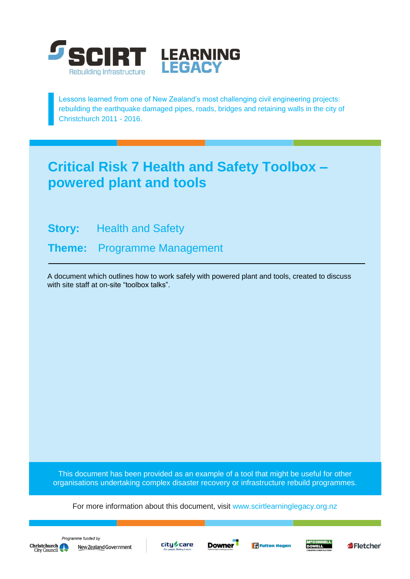

Lessons learned from one of New Zealand's most challenging civil engineering projects: rebuilding the earthquake damaged pipes, roads, bridges and retaining walls in the city of Christchurch 2011 - 2016.

# **Critical Risk 7 Health and Safety Toolbox – powered plant and tools**

**Story:** Health and Safety

**Theme:** Programme Management

A document which outlines how to work safely with powered plant and tools, created to discuss with site staff at on-site "toolbox talks".

This document has been provided as an example of a tool that might be useful for other organisations undertaking complex disaster recovery or infrastructure rebuild programmes.

For more information about this document, visit [www.scirtlearninglegacy.org.nz](http://www.scirtlearninglegacy.org.nz/)









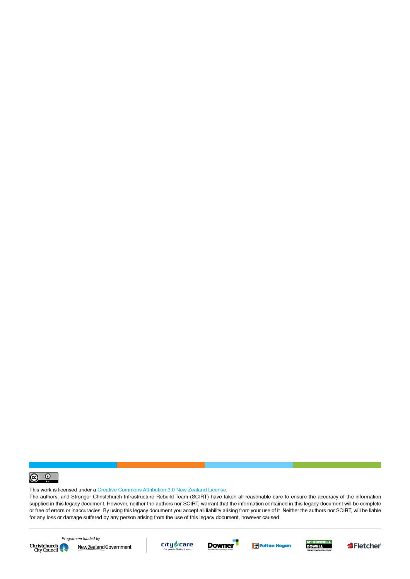

This work is licensed under a Creative Commons Attribution 3.0 New Zealand License.

The authors, and Stronger Christchurch Infrastructure Rebuild Team (SCIRT) have taken all reasonable care to ensure the accuracy of the information supplied in this legacy document. However, neither the authors nor SCIRT, warrant that the information contained in this legacy document will be complete or free of errors or inaccuracies. By using this legacy document you accept all liability arising from your use of it. Neither the authors nor SCIRT, will be liable for any loss or damage suffered by any person arising from the use of this legacy document, however caused.



Programme funded by New Zealand Government









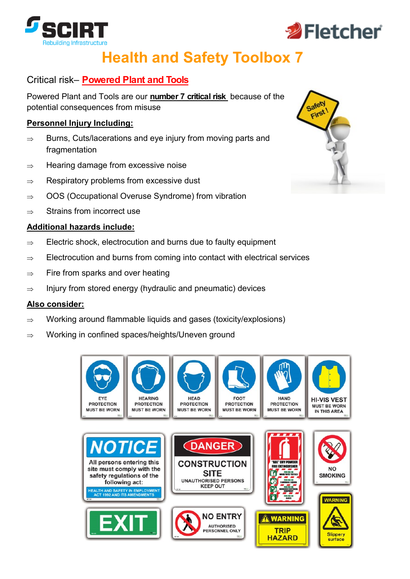



# **Health and Safety Toolbox 7**

# Critical risk– **Powered Plant and Tools**

Powered Plant and Tools are our **number 7 critical risk** because of the potential consequences from misuse

#### **Personnel Injury Including:**

- $\Rightarrow$  Burns, Cuts/lacerations and eye injury from moving parts and fragmentation
- $\Rightarrow$  Hearing damage from excessive noise
- $\Rightarrow$  Respiratory problems from excessive dust
- $\Rightarrow$  OOS (Occupational Overuse Syndrome) from vibration
- $\Rightarrow$  Strains from incorrect use

#### **Additional hazards include:**

- $\Rightarrow$  Electric shock, electrocution and burns due to faulty equipment
- $\Rightarrow$  Electrocution and burns from coming into contact with electrical services
- $\Rightarrow$  Fire from sparks and over heating
- $\Rightarrow$  Injury from stored energy (hydraulic and pneumatic) devices

#### **Also consider:**

- $\Rightarrow$  Working around flammable liquids and gases (toxicity/explosions)
- $\Rightarrow$  Working in confined spaces/heights/Uneven ground